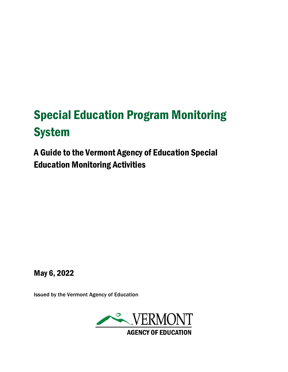# Special Education Program Monitoring System

A Guide to the Vermont Agency of Education Special Education Monitoring Activities

May 6, 2022

Issued by the Vermont Agency of Education

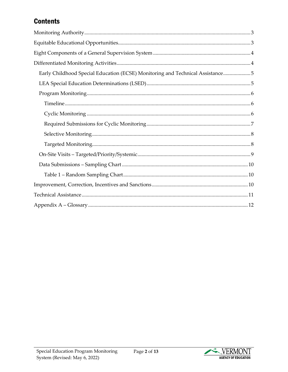# **Contents**

| Early Childhood Special Education (ECSE) Monitoring and Technical Assistance5 |
|-------------------------------------------------------------------------------|
|                                                                               |
|                                                                               |
|                                                                               |
|                                                                               |
|                                                                               |
|                                                                               |
|                                                                               |
|                                                                               |
|                                                                               |
|                                                                               |
|                                                                               |
|                                                                               |
|                                                                               |

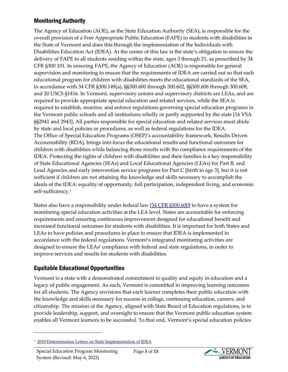#### <span id="page-2-0"></span>Monitoring Authority

The Agency of Education (AOE), as the State Education Authority (SEA), is responsible for the overall provision of a Free Appropriate Public Education (FAPE) to students with disabilities in the State of Vermont and does this through the implementation of the Individuals with Disabilities Education Act (IDEA). At the center of this law is the state's obligation to ensure the delivery of FAPE to all students residing within the state, ages 3 through 21, as prescribed by 34 CFR §300.101. In ensuring FAPE, the Agency of Education (AOE) is responsible for general supervision and monitoring to ensure that the requirements of IDEA are carried out so that each educational program for children with disabilities meets the educational standards of the SEA, in accordance with 34 CFR §300.149(a), §§300.600 through 300.602, §§300.606 through 300.608, and 20 USCS §1416. In Vermont, supervisory unions and supervisory districts are LEAs, and are required to provide appropriate special education and related services, while the SEA is required to establish, monitor, and enforce regulations governing special education programs in the Vermont public schools and all institutions wholly or partly supported by the state [16 VSA §§2941 and 2943]. All parties responsible for special education and related services must abide by state and local policies or procedures, as well as federal regulations for the IDEA. The Office of Special Education Programs (OSEP)'s accountability framework, Results Driven Accountability (RDA), brings into focus the educational results and functional outcomes for children with disabilities while balancing those results with the compliance requirements of the IDEA. Protecting the rights of children with disabilities and their families is a key responsibility of State Educational Agencies (SEAs) and Local Educational Agencies (LEAs) for Part B, and Lead Agencies and early intervention service programs for Part C [birth to age 3], but it is not sufficient if children are not attaining the knowledge and skills necessary to accomplish the ideals of the IDEA: equality of opportunity, full participation, independent living, and economic self-sufficiency.[1](#page-2-2)

States also have a responsibility under federal law [\[34 CFR §300.600\]](https://www.ecfr.gov/cgi-bin/text-idx?SID=ed075ab711fdb8c21ae18c9a958acdbf&mc=true&node=sg34.2.300.f.sg26&rgn=div7) to have a system for monitoring special education activities at the LEA level. States are accountable for enforcing requirements and ensuring continuous improvement designed for educational benefit and increased functional outcomes for students with disabilities. It is important for both States and LEAs to have policies and procedures in place to ensure that IDEA is implemented in accordance with the federal regulations. Vermont's integrated monitoring activities are designed to ensure the LEAs' compliance with federal and state regulations, in order to improve services and results for students with disabilities.

# <span id="page-2-1"></span>Equitable Educational Opportunities

Vermont is a state with a demonstrated commitment to quality and equity in education and a legacy of public engagement. As such, Vermont is committed to improving learning outcomes for all students. The Agency envisions that each learner completes their public education with the knowledge and skills necessary for success in college, continuing education, careers, and citizenship. The mission of the Agency, aligned with State Board of Education regulations, is to provide leadership, support, and oversight to ensure that the Vermont public education system enables all Vermont learners to be successful. To that end, Vermont's special education policies



<span id="page-2-2"></span><sup>1</sup> [2018 Determination Letters on State Implementation of IDEA](https://sites.ed.gov/idea/idea-files/2018-determination-letters-on-state-implementation-of-idea/)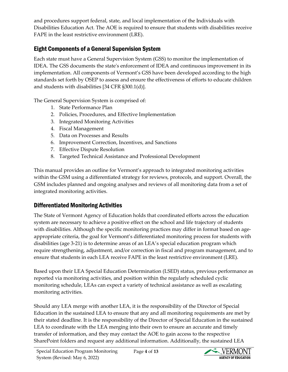and procedures support federal, state, and local implementation of the Individuals with Disabilities Education Act. The AOE is required to ensure that students with disabilities receive FAPE in the least restrictive environment (LRE).

# <span id="page-3-0"></span>Eight Components of a General Supervision System

Each state must have a General Supervision System (GSS) to monitor the implementation of IDEA. The GSS documents the state's enforcement of IDEA and continuous improvement in its implementation. All components of Vermont's GSS have been developed according to the high standards set forth by OSEP to assess and ensure the effectiveness of efforts to educate children and students with disabilities [34 CFR §300.1(d)].

The General Supervision System is comprised of:

- 1. State Performance Plan
- 2. Policies, Procedures, and Effective Implementation
- 3. Integrated Monitoring Activities
- 4. Fiscal Management
- 5. Data on Processes and Results
- 6. Improvement Correction, Incentives, and Sanctions
- 7. Effective Dispute Resolution
- 8. Targeted Technical Assistance and Professional Development

This manual provides an outline for Vermont's approach to integrated monitoring activities within the GSM using a differentiated strategy for reviews, protocols, and support. Overall, the GSM includes planned and ongoing analyses and reviews of all monitoring data from a set of integrated monitoring activities.

# <span id="page-3-1"></span>Differentiated Monitoring Activities

The State of Vermont Agency of Education holds that coordinated efforts across the education system are necessary to achieve a positive effect on the school and life trajectory of students with disabilities. Although the specific monitoring practices may differ in format based on ageappropriate criteria, the goal for Vermont's differentiated monitoring process for students with disabilities (age 3-21) is to determine areas of an LEA's special education program which require strengthening, adjustment, and/or correction in fiscal and program management, and to ensure that students in each LEA receive FAPE in the least restrictive environment (LRE).

Based upon their LEA Special Education Determination (LSED) status, previous performance as reported via monitoring activities, and position within the regularly scheduled cyclic monitoring schedule, LEAs can expect a variety of technical assistance as well as escalating monitoring activities.

Should any LEA merge with another LEA, it is the responsibility of the Director of Special Education in the sustained LEA to ensure that any and all monitoring requirements are met by their stated deadline. It is the responsibility of the Director of Special Education in the sustained LEA to coordinate with the LEA merging into their own to ensure an accurate and timely transfer of information, and they may contact the AOE to gain access to the respective SharePoint folders and request any additional information. Additionally, the sustained LEA

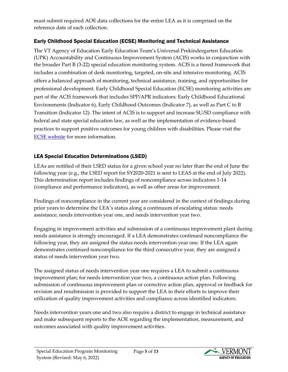must submit required AOE data collections for the entire LEA as it is comprised on the reference date of each collection.

#### <span id="page-4-0"></span>Early Childhood Special Education (ECSE) Monitoring and Technical Assistance

The VT Agency of Education Early Education Team's Universal Prekindergarten Education (UPK) Accountability and Continuous Improvement System (ACIS) works in conjunction with the broader Part B (3-22) special education monitoring system. ACIS is a tiered framework that includes a combination of desk monitoring, targeted, on-site and intensive monitoring. ACIS offers a balanced approach of monitoring, technical assistance, training, and opportunities for professional development. Early Childhood Special Education (ECSE) monitoring activities are part of the ACIS framework that includes SPP/APR indicators: Early Childhood Educational Environments (Indicator 6), Early Childhood Outcomes (Indicator 7), as well as Part C to B Transition (Indicator 12). The intent of ACIS is to support and increase SU/SD compliance with federal and state special education law, as well as the implementation of evidence-based practices to support positive outcomes for young children with disabilities. Please visit the [ECSE website](https://education.vermont.gov/student-support/early-education/early-childhood-special-education) for more information.

#### <span id="page-4-1"></span>LEA Special Education Determinations (LSED)

LEAs are notified of their LSED status for a given school year no later than the end of June the following year (e.g., the LSED report for SY2020-2021 is sent to LEAS at the end of July 2022). This determination report includes findings of noncompliance across indicators 1-14 (compliance and performance indicators), as well as other areas for improvement.

Findings of noncompliance in the current year are considered in the context of findings during prior years to determine the LEA's status along a continuum of escalating status: needs assistance, needs intervention year one, and needs intervention year two.

Engaging in improvement activities and submission of a continuous improvement plant during needs assistance is strongly encouraged. If a LEA demonstrates continued noncompliance the following year, they are assigned the status needs intervention year one. If the LEA again demonstrates continued noncompliance for the third consecutive year, they are assigned a status of needs intervention year two.

The assigned status of needs intervention year one requires a LEA to submit a continuous improvement plan; for needs intervention year two, a continuous action plan. Following submission of continuous improvement plan or corrective action plan, approval or feedback for revision and resubmission is provided to support the LEA in their efforts to improve their utilization of quality improvement activities and compliance across identified indicators.

Needs intervention years one and two also require a district to engage in technical assistance and make subsequent reports to the AOE regarding the implementation, measurement, and outcomes associated with quality improvement activities.

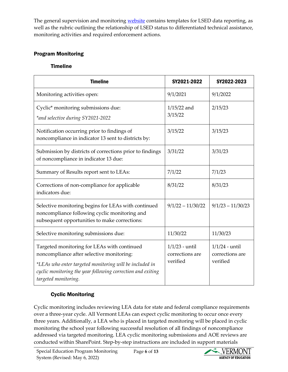The general supervision and monitoring [website](https://education.vermont.gov/student-support/vermont-special-education/general-supervision-and-monitoring-system) contains templates for LSED data reporting, as well as the rubric outlining the relationship of LSED status to differentiated technical assistance, monitoring activities and required enforcement actions.

#### <span id="page-5-1"></span><span id="page-5-0"></span>Program Monitoring

#### Timeline

| <b>Timeline</b>                                                                                                                                                                                                                            | SY2021-2022                                     | SY2022-2023                                     |
|--------------------------------------------------------------------------------------------------------------------------------------------------------------------------------------------------------------------------------------------|-------------------------------------------------|-------------------------------------------------|
| Monitoring activities open:                                                                                                                                                                                                                | 9/1/2021                                        | 9/1/2022                                        |
| Cyclic* monitoring submissions due:<br>*and selective during SY2021-2022                                                                                                                                                                   | $1/15/22$ and<br>3/15/22                        | 2/15/23                                         |
| Notification occurring prior to findings of<br>noncompliance in indicator 13 sent to districts by:                                                                                                                                         | 3/15/22                                         | 3/15/23                                         |
| Submission by districts of corrections prior to findings<br>of noncompliance in indicator 13 due:                                                                                                                                          | 3/31/22                                         | 3/31/23                                         |
| Summary of Results report sent to LEAs:                                                                                                                                                                                                    | 7/1/22                                          | 7/1/23                                          |
| Corrections of non-compliance for applicable<br>indicators due:                                                                                                                                                                            | 8/31/22                                         | 8/31/23                                         |
| Selective monitoring begins for LEAs with continued<br>noncompliance following cyclic monitoring and<br>subsequent opportunities to make corrections:                                                                                      | $9/1/22 - 11/30/22$                             | $9/1/23 - 11/30/23$                             |
| Selective monitoring submissions due:                                                                                                                                                                                                      | 11/30/22                                        | 11/30/23                                        |
| Targeted monitoring for LEAs with continued<br>noncompliance after selective monitoring:<br>*LEAs who enter targeted monitoring will be included in<br>cyclic monitoring the year following correction and exiting<br>targeted monitoring. | $1/1/23$ - until<br>corrections are<br>verified | $1/1/24$ - until<br>corrections are<br>verified |

# <span id="page-5-2"></span>Cyclic Monitoring

Cyclic monitoring includes reviewing LEA data for state and federal compliance requirements over a three-year cycle. All Vermont LEAs can expect cyclic monitoring to occur once every three years. Additionally, a LEA who is placed in targeted monitoring will be placed in cyclic monitoring the school year following successful resolution of all findings of noncompliance addressed via targeted monitoring. LEA cyclic monitoring submissions and AOE reviews are conducted within SharePoint. Step-by-step instructions are included in support materials

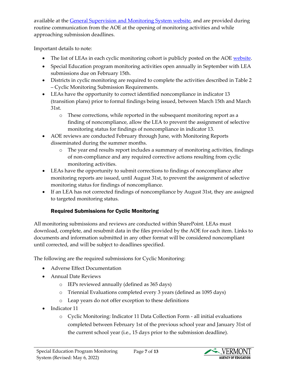available at the [General Supervision and Monitoring System website,](https://education.vermont.gov/student-support/vermont-special-education/general-supervision-and-monitoring-system) and are provided during routine communication from the AOE at the opening of monitoring activities and while approaching submission deadlines.

Important details to note:

- The list of LEAs in each cyclic monitoring cohort is publicly posted on the AOE [website.](https://education.vermont.gov/student-support/vermont-special-education/general-supervision-and-monitoring-system)
- Special Education program monitoring activities open annually in September with LEA submissions due on February 15th.
- Districts in cyclic monitoring are required to complete the activities described in Table 2 – Cyclic Monitoring Submission Requirements.
- LEAs have the opportunity to correct identified noncompliance in indicator 13 (transition plans) prior to formal findings being issued, between March 15th and March 31st.
	- o These corrections, while reported in the subsequent monitoring report as a finding of noncompliance, allow the LEA to prevent the assignment of selective monitoring status for findings of noncompliance in indicator 13.
- AOE reviews are conducted February through June, with Monitoring Reports disseminated during the summer months.
	- o The year end results report includes a summary of monitoring activities, findings of non-compliance and any required corrective actions resulting from cyclic monitoring activities.
- LEAs have the opportunity to submit corrections to findings of noncompliance after monitoring reports are issued, until August 31st, to prevent the assignment of selective monitoring status for findings of noncompliance.
- If an LEA has not corrected findings of noncompliance by August 31st, they are assigned to targeted monitoring status.

# Required Submissions for Cyclic Monitoring

<span id="page-6-0"></span>All monitoring submissions and reviews are conducted within SharePoint. LEAs must download, complete, and resubmit data in the files provided by the AOE for each item. Links to documents and information submitted in any other format will be considered noncompliant until corrected, and will be subject to deadlines specified.

The following are the required submissions for Cyclic Monitoring:

- Adverse Effect Documentation
- Annual Date Reviews
	- o IEPs reviewed annually (defined as 365 days)
	- o Triennial Evaluations completed every 3 years (defined as 1095 days)
	- o Leap years do not offer exception to these definitions
- Indicator 11
	- o Cyclic Monitoring: Indicator 11 Data Collection Form all initial evaluations completed between February 1st of the previous school year and January 31st of the current school year (i.e., 15 days prior to the submission deadline).

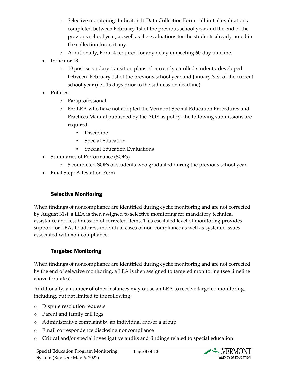- o Selective monitoring: Indicator 11 Data Collection Form all initial evaluations completed between February 1st of the previous school year and the end of the previous school year, as well as the evaluations for the students already noted in the collection form, if any.
- o Additionally, Form 4 required for any delay in meeting 60-day timeline.
- Indicator 13
	- o 10 post-secondary transition plans of currently enrolled students, developed between 'February 1st of the previous school year and January 31st of the current school year (i.e., 15 days prior to the submission deadline).
- Policies
	- o Paraprofessional
	- o For LEA who have not adopted the Vermont Special Education Procedures and Practices Manual published by the AOE as policy, the following submissions are required:
		- Discipline
		- Special Education
		- **Special Education Evaluations**
- Summaries of Performance (SOPs)
	- o 5 completed SOPs of students who graduated during the previous school year.
- Final Step: Attestation Form

# Selective Monitoring

<span id="page-7-0"></span>When findings of noncompliance are identified during cyclic monitoring and are not corrected by August 31st, a LEA is then assigned to selective monitoring for mandatory technical assistance and resubmission of corrected items. This escalated level of monitoring provides support for LEAs to address individual cases of non-compliance as well as systemic issues associated with non-compliance.

#### Targeted Monitoring

<span id="page-7-1"></span>When findings of noncompliance are identified during cyclic monitoring and are not corrected by the end of selective monitoring, a LEA is then assigned to targeted monitoring (see timeline above for dates).

Additionally, a number of other instances may cause an LEA to receive targeted monitoring, including, but not limited to the following:

- o Dispute resolution requests
- o Parent and family call logs
- o Administrative complaint by an individual and/or a group
- o Email correspondence disclosing noncompliance
- o Critical and/or special investigative audits and findings related to special education

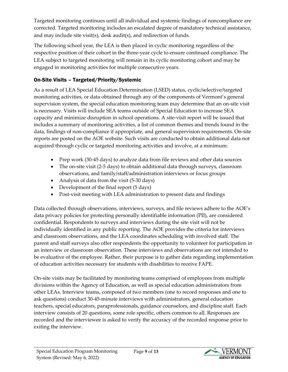Targeted monitoring continues until all individual and systemic findings of noncompliance are corrected. Targeted monitoring includes an escalated degree of mandatory technical assistance, and may include site visit(s), desk audit(s), and redirection of funds.

The following school year, the LEA is then placed in cyclic monitoring regardless of the respective position of their cohort in the three-year cycle to ensure continued compliance. The LEA subject to targeted monitoring will remain in its cyclic monitoring cohort and may be engaged in monitoring activities for multiple consecutive years.

# <span id="page-8-0"></span>On-Site Visits – Targeted/Priority/Systemic

As a result of LEA Special Education Determination (LSED) status, cyclic/selective/targeted monitoring activities, or data obtained through any of the components of Vermont's general supervision system, the special education monitoring team may determine that an on-site visit is necessary. Visits will include SEA teams outside of Special Education to increase SEA capacity and minimize disruption in school operations. A site-visit report will be issued that includes a summary of monitoring activities, a list of common themes and trends found in the data, findings of non-compliance if appropriate, and general supervision requirements. On-site reports are posted on the AOE website. Such visits are conducted to obtain additional data not acquired through cyclic or targeted monitoring activities and involve, at a minimum:

- Prep work (30-45 days) to analyze data from file reviews and other data sources
- The on-site visit (2-5 days) to obtain additional data through surveys, classroom observations, and family/staff/administration interviews or focus groups
- Analysis of data from the visit (5-30 days)
- Development of the final report (5 days)
- Post-visit meeting with LEA administration to present data and findings

Data collected through observations, interviews, surveys, and file reviews adhere to the AOE's data privacy policies for protecting personally identifiable information (PII), are considered confidential. Respondents to surveys and interviews during the site visit will not be individually identified in any public reporting. The AOE provides the criteria for interviews and classroom observations, and the LEA coordinates scheduling with involved staff. The parent and staff surveys also offer respondents the opportunity to volunteer for participation in an interview or classroom observation. These interviews and observations are not intended to be evaluative of the employee. Rather, their purpose is to gather data regarding implementation of education activities necessary for students with disabilities to receive FAPE.

On-site visits may be facilitated by monitoring teams comprised of employees from multiple divisions within the Agency of Education, as well as special education administrators from other LEAs. Interview teams, composed of two members (one to record responses and one to ask questions) conduct 30-45-minute interviews with administrators, general education teachers, special educators, paraprofessionals, guidance counselors, and discipline staff. Each interview consists of 20 questions, some role specific, others common to all. Responses are recorded and the interviewee is asked to verify the accuracy of the recorded response prior to exiting the interview.

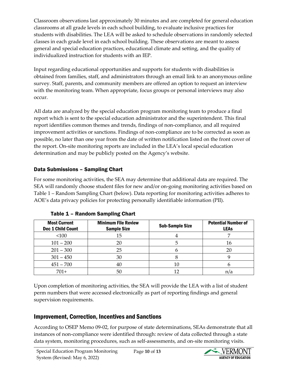Classroom observations last approximately 30 minutes and are completed for general education classrooms at all grade levels in each school building, to evaluate inclusive practices for students with disabilities. The LEA will be asked to schedule observations in randomly selected classes in each grade level in each school building. These observations are meant to assess general and special education practices, educational climate and setting, and the quality of individualized instruction for students with an IEP.

Input regarding educational opportunities and supports for students with disabilities is obtained from families, staff, and administrators through an email link to an anonymous online survey. Staff, parents, and community members are offered an option to request an interview with the monitoring team. When appropriate, focus groups or personal interviews may also occur.

All data are analyzed by the special education program monitoring team to produce a final report which is sent to the special education administrator and the superintendent. This final report identifies common themes and trends, findings of non-compliance, and all required improvement activities or sanctions. Findings of non-compliance are to be corrected as soon as possible, no later than one year from the date of written notification listed on the front cover of the report. On-site monitoring reports are included in the LEA's local special education determination and may be publicly posted on the Agency's website.

#### <span id="page-9-0"></span>Data Submissions – Sampling Chart

For some monitoring activities, the SEA may determine that additional data are required. The SEA will randomly choose student files for new and/or on-going monitoring activities based on Table 1 – Random Sampling Chart (below). Data reporting for monitoring activities adheres to AOE's data privacy policies for protecting personally identifiable information (PII).

<span id="page-9-1"></span>

| <b>Most Current</b><br><b>Dec 1 Child Count</b> | <b>Minimum File Review</b><br><b>Sample Size</b> | <b>Sub-Sample Size</b> | <b>Potential Number of</b><br><b>LEAs</b> |
|-------------------------------------------------|--------------------------------------------------|------------------------|-------------------------------------------|
| <100                                            | 15                                               |                        |                                           |
| $101 - 200$                                     | 20                                               |                        | 16                                        |
| $201 - 300$                                     | 25                                               |                        | 20                                        |
| $301 - 450$                                     | 30                                               |                        |                                           |
| $451 - 700$                                     | 40                                               | 10                     |                                           |
| $701+$                                          | 50                                               |                        | n/a                                       |

#### Table 1 – Random Sampling Chart

Upon completion of monitoring activities, the SEA will provide the LEA with a list of student perm numbers that were accessed electronically as part of reporting findings and general supervision requirements.

# <span id="page-9-2"></span>Improvement, Correction, Incentives and Sanctions

According to OSEP Memo 09-02, for purpose of state determinations, SEAs demonstrate that all instances of non-compliance were identified through: review of data collected through a state data system, monitoring procedures, such as self-assessments, and on-site monitoring visits.

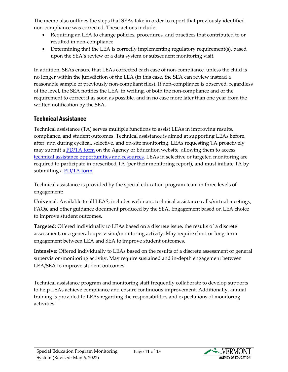The memo also outlines the steps that SEAs take in order to report that previously identified non-compliance was corrected. These actions include:

- Requiring an LEA to change policies, procedures, and practices that contributed to or resulted in non-compliance
- Determining that the LEA is correctly implementing regulatory requirement(s), based upon the SEA's review of a data system or subsequent monitoring visit.

In addition, SEAs ensure that LEAs corrected each case of non-compliance, unless the child is no longer within the jurisdiction of the LEA (in this case, the SEA can review instead a reasonable sample of previously non-compliant files). If non-compliance is observed, regardless of the level, the SEA notifies the LEA, in writing, of both the non-compliance and of the requirement to correct it as soon as possible, and in no case more later than one year from the written notification by the SEA.

# <span id="page-10-0"></span>Technical Assistance

Technical assistance (TA) serves multiple functions to assist LEAs in improving results, compliance, and student outcomes. Technical assistance is aimed at supporting LEAs before, after, and during cyclical, selective, and on-site monitoring. LEAs requesting TA proactively may submit a [PD/TA form](https://education.vermont.gov/webform/special-education-professional-development-request-form) on the Agency of Education website, allowing them to access [technical assistance opportunities and resources.](https://education.vermont.gov/student-support/vermont-special-education/technical-assistance-requests-and-professional-development) LEAs in selective or targeted monitoring are required to participate in prescribed TA (per their monitoring report), and must initiate TA by submitting a [PD/TA form.](https://education.vermont.gov/webform/special-education-professional-development-request-form)

Technical assistance is provided by the special education program team in three levels of engagement:

**Universal**: Available to all LEAS, includes webinars, technical assistance calls/virtual meetings, FAQs, and other guidance document produced by the SEA. Engagement based on LEA choice to improve student outcomes.

**Targeted**: Offered individually to LEAs based on a discrete issue, the results of a discrete assessment, or a general supervision/monitoring activity. May require short or long-term engagement between LEA and SEA to improve student outcomes.

**Intensive**: Offered individually to LEAs based on the results of a discrete assessment or general supervision/monitoring activity. May require sustained and in-depth engagement between LEA/SEA to improve student outcomes.

Technical assistance program and monitoring staff frequently collaborate to develop supports to help LEAs achieve compliance and ensure continuous improvement. Additionally, annual training is provided to LEAs regarding the responsibilities and expectations of monitoring activities.

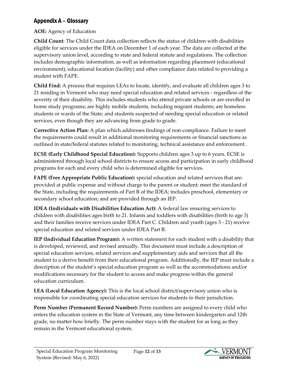# <span id="page-11-0"></span>Appendix A – Glossary

#### **AOE:** Agency of Education

**Child Count**: The Child Count data collection reflects the status of children with disabilities eligible for services under the IDEA on December 1 of each year. The data are collected at the supervisory union level, according to state and federal statute and regulations. The collection includes demographic information, as well as information regarding placement (educational environment), educational location (facility) and other compliance data related to providing a student with FAPE.

**Child Find:** A process that requires LEAs to locate, identify, and evaluate all children ages 3 to 21 residing in Vermont who may need special education and related services - regardless of the severity of their disability. This includes students who attend private schools or are enrolled in home study programs; are highly mobile students, including migrant students; are homeless students or wards of the State; and students suspected of needing special education or related services, even though they are advancing from grade to grade.

**Corrective Action Plan:** A plan which addresses findings of non-compliance. Failure to meet the requirements could result in additional monitoring requirements or financial sanctions as outlined in state/federal statutes related to monitoring, technical assistance and enforcement.

**ECSE (Early Childhood Special Education):** Supports children ages 3 up to 6 years. ECSE is administered through local school districts to ensure access and participation in early childhood programs for each and every child who is determined eligible for services.

**FAPE (Free Appropriate Public Education):** special education and related services that are: provided at public expense and without charge to the parent or student; meet the standard of the State, including the requirements of Part B of the IDEA; includes preschool, elementary or secondary school education; and are provided through an IEP.

**IDEA (Individuals with Disabilities Education Act):** A federal law ensuring services to children with disabilities ages birth to 21. Infants and toddlers with disabilities (birth to age 3) and their families receive services under IDEA Part C. Children and youth (ages 3 - 21) receive special education and related services under IDEA Part B.

**IEP (Individual Education Program):** A written statement for each student with a disability that is developed, reviewed, and revised annually. This document must include a description of special education services, related services and supplementary aids and services that all the student to a derive benefit from their educational program. Additionally, the IEP must include a description of the student's special education program as well as the accommodations and/or modifications necessary for the student to access and make progress within the general education curriculum.

**LEA (Local Education Agency):** This is the local school district/supervisory union who is responsible for coordinating special education services for students in their jurisdiction.

**Perm Number (Permanent Record Number):** Perm numbers are assigned to every child who enters the education system in the State of Vermont, any time between kindergarten and 12th grade, no matter how briefly. The perm number stays with the student for as long as they remain in the Vermont educational system.